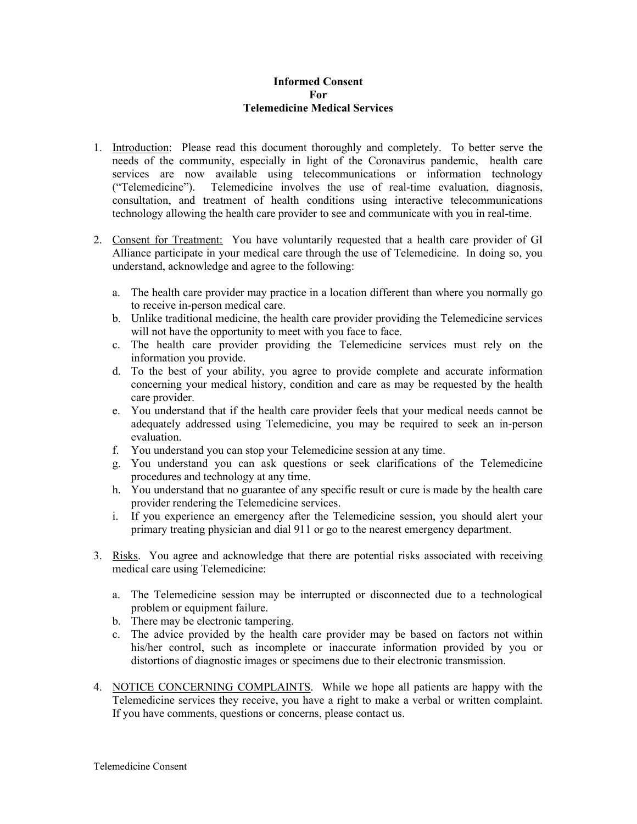## Informed Consent For Telemedicine Medical Services

- 1. Introduction: Please read this document thoroughly and completely. To better serve the needs of the community, especially in light of the Coronavirus pandemic, health care services are now available using telecommunications or information technology ("Telemedicine"). Telemedicine involves the use of real-time evaluation, diagnosis, consultation, and treatment of health conditions using interactive telecommunications technology allowing the health care provider to see and communicate with you in real-time.
- 2. Consent for Treatment: You have voluntarily requested that a health care provider of GI Alliance participate in your medical care through the use of Telemedicine. In doing so, you understand, acknowledge and agree to the following:
	- a. The health care provider may practice in a location different than where you normally go to receive in-person medical care.
	- b. Unlike traditional medicine, the health care provider providing the Telemedicine services will not have the opportunity to meet with you face to face.
	- c. The health care provider providing the Telemedicine services must rely on the information you provide.
	- d. To the best of your ability, you agree to provide complete and accurate information concerning your medical history, condition and care as may be requested by the health care provider.
	- e. You understand that if the health care provider feels that your medical needs cannot be adequately addressed using Telemedicine, you may be required to seek an in-person evaluation.
	- f. You understand you can stop your Telemedicine session at any time.
	- g. You understand you can ask questions or seek clarifications of the Telemedicine procedures and technology at any time.
	- h. You understand that no guarantee of any specific result or cure is made by the health care provider rendering the Telemedicine services.
	- i. If you experience an emergency after the Telemedicine session, you should alert your primary treating physician and dial 911 or go to the nearest emergency department.
- 3. Risks. You agree and acknowledge that there are potential risks associated with receiving medical care using Telemedicine:
	- a. The Telemedicine session may be interrupted or disconnected due to a technological problem or equipment failure.
	- b. There may be electronic tampering.
	- c. The advice provided by the health care provider may be based on factors not within his/her control, such as incomplete or inaccurate information provided by you or distortions of diagnostic images or specimens due to their electronic transmission.
- 4. NOTICE CONCERNING COMPLAINTS. While we hope all patients are happy with the Telemedicine services they receive, you have a right to make a verbal or written complaint. If you have comments, questions or concerns, please contact us.